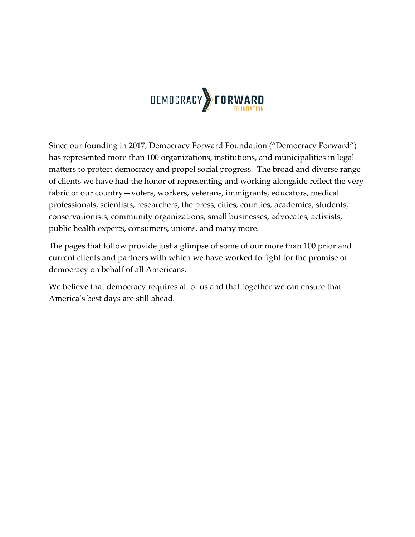

Since our founding in 2017, Democracy Forward Foundation ("Democracy Forward") has represented more than 100 organizations, institutions, and municipalities in legal matters to protect democracy and propel social progress. The broad and diverse range of clients we have had the honor of representing and working alongside reflect the very fabric of our country—voters, workers, veterans, immigrants, educators, medical professionals, scientists, researchers, the press, cities, counties, academics, students, conservationists, community organizations, small businesses, advocates, activists, public health experts, consumers, unions, and many more.

The pages that follow provide just a glimpse of some of our more than 100 prior and current clients and partners with which we have worked to fight for the promise of democracy on behalf of all Americans.

We believe that democracy requires all of us and that together we can ensure that America's best days are still ahead.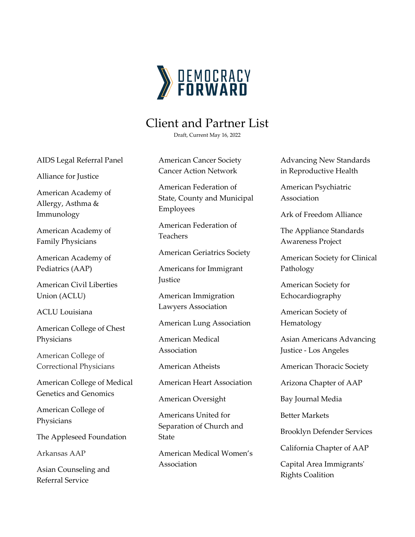

## Client and Partner List

Draft, Current May 16, 2022

AIDS Legal Referral Panel

Alliance for Justice

American Academy of Allergy, Asthma & Immunology

American Academy of Family Physicians

American Academy of Pediatrics (AAP)

American Civil Liberties Union (ACLU)

ACLU Louisiana

American College of Chest Physicians

American College of Correctional Physicians

American College of Medical Genetics and Genomics

American College of Physicians

The Appleseed Foundation

Arkansas AAP

Asian Counseling and Referral Service

American Cancer Society Cancer Action Network

American Federation of State, County and Municipal Employees

American Federation of Teachers

American Geriatrics Society

Americans for Immigrant **Justice** 

American Immigration Lawyers Association

American Lung Association

American Medical Association

American Atheists

American Heart Association

American Oversight

Americans United for Separation of Church and State

American Medical Women's Association

Advancing New Standards in Reproductive Health

American Psychiatric Association

Ark of Freedom Alliance

The Appliance Standards Awareness Project

American Society for Clinical Pathology

American Society for Echocardiography

American Society of Hematology

Asian Americans Advancing Justice - Los Angeles

American Thoracic Society

Arizona Chapter of AAP

Bay Journal Media

Better Markets

Brooklyn Defender Services

California Chapter of AAP

Capital Area Immigrants' Rights Coalition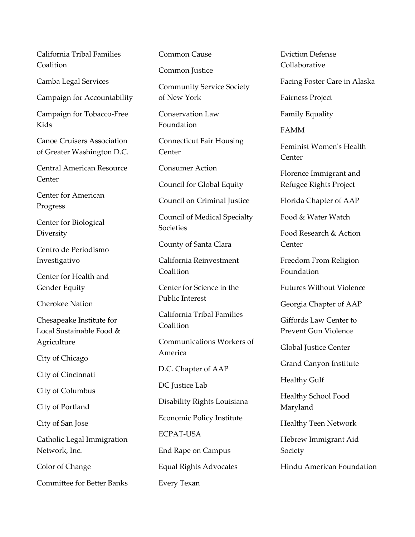California Tribal Families Coalition

Camba Legal Services

Campaign for Accountability

Campaign for Tobacco-Free Kids

Canoe Cruisers Association of Greater Washington D.C.

Central American Resource **Center** 

Center for American Progress

Center for Biological **Diversity** 

Centro de Periodismo Investigativo

Center for Health and Gender Equity

Cherokee Nation

Chesapeake Institute for Local Sustainable Food & Agriculture

City of Chicago

City of Cincinnati

City of Columbus

City of Portland

City of San Jose

Catholic Legal Immigration Network, Inc.

Color of Change

Committee for Better Banks

Common Cause

Common Justice

Community Service Society of New York

Conservation Law Foundation

Connecticut Fair Housing Center

Consumer Action

Council for Global Equity

Council on Criminal Justice

Council of Medical Specialty **Societies** 

County of Santa Clara

California Reinvestment Coalition

Center for Science in the Public Interest

California Tribal Families Coalition

Communications Workers of America

D.C. Chapter of AAP

DC Justice Lab

Disability Rights Louisiana

Economic Policy Institute

ECPAT-USA

End Rape on Campus

Equal Rights Advocates

Every Texan

Eviction Defense Collaborative

Facing Foster Care in Alaska

Fairness Project

Family Equality

FAMM

Feminist Women's Health **Center** 

Florence Immigrant and Refugee Rights Project

Florida Chapter of AAP

Food & Water Watch

Food Research & Action Center

Freedom From Religion Foundation

Futures Without Violence

Georgia Chapter of AAP

Giffords Law Center to Prevent Gun Violence

Global Justice Center

Grand Canyon Institute

Healthy Gulf

Healthy School Food Maryland

Healthy Teen Network

Hebrew Immigrant Aid Society

Hindu American Foundation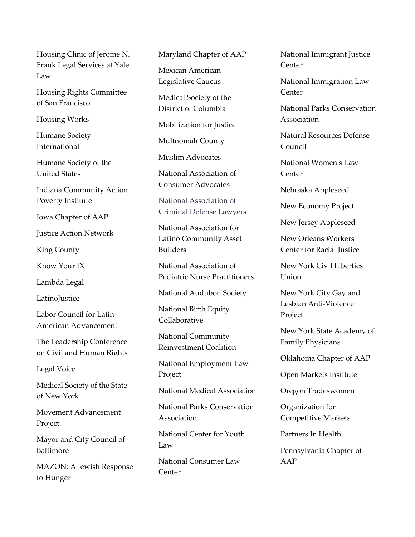Housing Clinic of Jerome N. Frank Legal Services at Yale Law

Housing Rights Committee of San Francisco

Housing Works

Humane Society International

Humane Society of the United States

Indiana Community Action Poverty Institute

Iowa Chapter of AAP

Justice Action Network

King County

Know Your IX

Lambda Legal

**LatinoJustice** 

Labor Council for Latin American Advancement

The Leadership Conference on Civil and Human Rights

Legal Voice

Medical Society of the State of New York

Movement Advancement Project

Mayor and City Council of Baltimore

MAZON: A Jewish Response to Hunger

Maryland Chapter of AAP

Mexican American Legislative Caucus

Medical Society of the District of Columbia

Mobilization for Justice

Multnomah County

Muslim Advocates

National Association of Consumer Advocates

National Association of Criminal Defense Lawyers

National Association for Latino Community Asset Builders

National Association of Pediatric Nurse Practitioners

National Audubon Society

National Birth Equity Collaborative

National Community Reinvestment Coalition

National Employment Law Project

National Medical Association

National Parks Conservation Association

National Center for Youth Law

National Consumer Law **Center** 

National Immigrant Justice Center

National Immigration Law **Center** 

National Parks Conservation Association

Natural Resources Defense Council

National Women's Law Center

Nebraska Appleseed

New Economy Project

New Jersey Appleseed

New Orleans Workers' Center for Racial Justice

New York Civil Liberties Union

New York City Gay and Lesbian Anti-Violence Project

New York State Academy of Family Physicians

Oklahoma Chapter of AAP

Open Markets Institute

Oregon Tradeswomen

Organization for Competitive Markets

Partners In Health

Pennsylvania Chapter of AAP